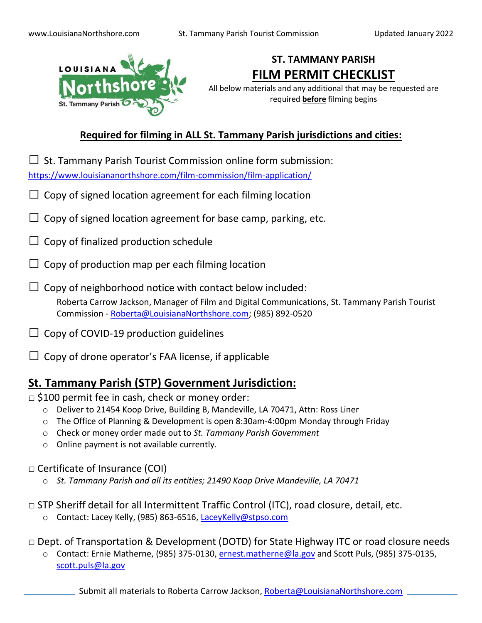

# **ST. TAMMANY PARISH FILM PERMIT CHECKLIST**

All below materials and any additional that may be requested are required **before** filming begins

### **Required for filming in ALL St. Tammany Parish jurisdictions and cities:**

 $\Box$  St. Tammany Parish Tourist Commission online form submission: <https://www.louisiananorthshore.com/film-commission/film-application/>

- $\Box$  Copy of signed location agreement for each filming location
- $\Box$  Copy of signed location agreement for base camp, parking, etc.
- $\Box$  Copy of finalized production schedule
- $\Box$  Copy of production map per each filming location
- $\Box$  Copy of neighborhood notice with contact below included: Roberta Carrow Jackson, Manager of Film and Digital Communications, St. Tammany Parish Tourist Commission - [Roberta@LouisianaNorthshore.com;](mailto:Roberta@LouisianaNorthshore.com) (985) 892-0520
- $\Box$  Copy of COVID-19 production guidelines
- $\Box$  Copy of drone operator's FAA license, if applicable

### **St. Tammany Parish (STP) Government Jurisdiction:**

#### $\Box$  \$100 permit fee in cash, check or money order:

- o Deliver to 21454 Koop Drive, Building B, Mandeville, LA 70471, Attn: Ross Liner
- $\circ$  The Office of Planning & Development is open 8:30am-4:00pm Monday through Friday
- o Check or money order made out to *St. Tammany Parish Government*
- o Online payment is not available currently.

### □ Certificate of Insurance (COI)

- o *St. Tammany Parish and all its entities; 21490 Koop Drive Mandeville, LA 70471*
- $\Box$  STP Sheriff detail for all Intermittent Traffic Control (ITC), road closure, detail, etc.
	- o Contact: Lacey Kelly, (985) 863-6516, [LaceyKelly@stpso.com](mailto:LaceyKelly@stpso.com)

□ Dept. of Transportation & Development (DOTD) for State Highway ITC or road closure needs

o Contact: Ernie Matherne, (985) 375-0130, [ernest.matherne@la.gov](mailto:ernest.matherne@la.gov) and Scott Puls, (985) 375-0135, [scott.puls@la.gov](mailto:scott.puls@la.gov)

Submit all materials to Roberta Carrow Jackson, [Roberta@LouisianaNorthshore.com](mailto:Roberta@LouisianaNorthshore.com)